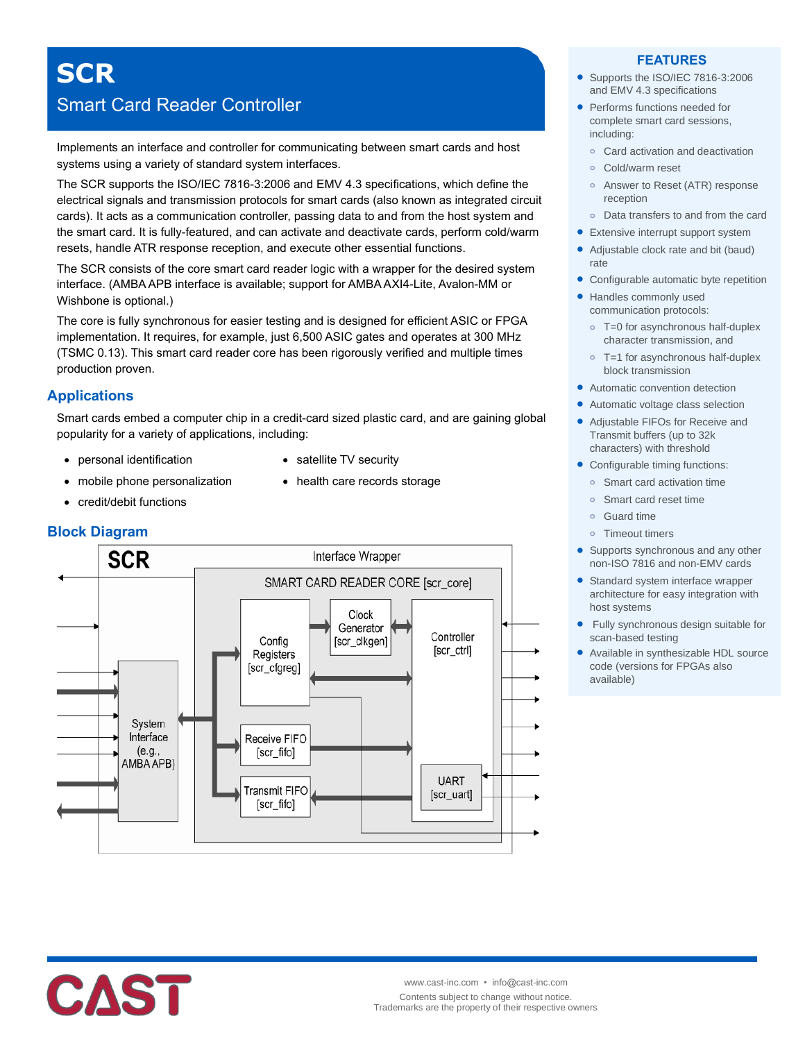**SCR**

# Smart Card Reader Controller

Implements an interface and controller for communicating between smart cards and host systems using a variety of standard system interfaces.

The SCR supports the ISO/IEC 7816-3:2006 and EMV 4.3 specifications, which define the electrical signals and transmission protocols for smart cards (also known as integrated circuit cards). It acts as a communication controller, passing data to and from the host system and the smart card. It is fully-featured, and can activate and deactivate cards, perform cold/warm resets, handle ATR response reception, and execute other essential functions.

The SCR consists of the core smart card reader logic with a wrapper for the desired system interface. (AMBA APB interface is available; support for AMBA AXI4-Lite, Avalon-MM or Wishbone is optional.)

The core is fully synchronous for easier testing and is designed for efficient ASIC or FPGA implementation. It requires, for example, just 6,500 ASIC gates and operates at 300 MHz (TSMC 0.13). This smart card reader core has been rigorously verified and multiple times production proven.

# **Applications**

Smart cards embed a computer chip in a credit-card sized plastic card, and are gaining global popularity for a variety of applications, including:

• satellite TV security

• health care records storage

- personal identification
- mobile phone personalization
- credit/debit functions



## **FEATURES**

- Supports the ISO/IEC 7816-3:2006 and EMV 4.3 specifications
- Performs functions needed for complete smart card sessions, including:
	- **o** Card activation and deactivation
	- **o** Cold/warm reset
	- **o** Answer to Reset (ATR) response reception
- **o** Data transfers to and from the card
- **•** Extensive interrupt support system
- Adjustable clock rate and bit (baud) rate
- Configurable automatic byte repetition
- Handles commonly used communication protocols:
	- **o** T=0 for asynchronous half-duplex character transmission, and
	- **o** T=1 for asynchronous half-duplex block transmission
- Automatic convention detection
- Automatic voltage class selection
- Adjustable FIFOs for Receive and Transmit buffers (up to 32k characters) with threshold
- Configurable timing functions:
	- **o** Smart card activation time
	- **o** Smart card reset time
	- **o** Guard time
	- **o** Timeout timers
- Supports synchronous and any other non-ISO 7816 and non-EMV cards
- Standard system interface wrapper architecture for easy integration with host systems
- Fully synchronous design suitable for scan-based testing
- Available in synthesizable HDL source code (versions for FPGAs also available)